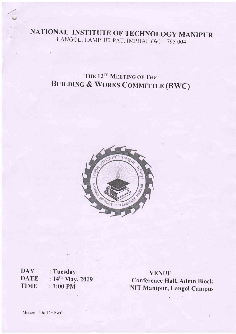NATIONAL INSTITUTE OF TECHNOLOGY MANIPUR<br>LANGOL, LAMPHELPAT, IMPHAL (W) - 795 004

## THE 12<sup>TH</sup> MEETING OF THE BUILDING & WORKS COMMITTEE (BWC)



**DAY DATE** TIME : Tuesday :  $14^{th}$  May, 2019 : 1:00 PM

I

VENUE Conference Hall, Admn Block NIT Manipur, Langol Campus

 $\bar{1}$ 

v

I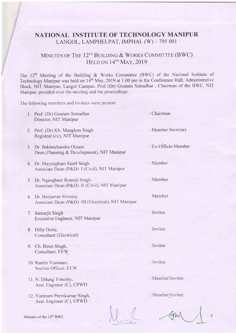## NATIONAL INSTITUTE OF TECHNOLOGY MANIPUR LANGOL. LAMPHELPAT, IMPHAL (W) - 795 001

## MINUTES OF THE  $12^{TH}$  BUILDING & WORKS COMMITTEE (BWC) HELD ON  $14^{\text{TH}}$  MAY, 2019

The  $12<sup>th</sup>$  Meeting of the Building & Works Committee (BWC) of the National Institute of Technology Manipur was held on 14<sup>th</sup> May, 2019 at 1.00 pm in the Conference Hall, Administrative Block, NIT Manipur, Langol Campus. Prof (Dr) Goutam Sutradhar . Chairman of the BWC, NIT Manipur. presided over the meeting and the proceedings.

Chairman

: Member

Member

Member

Invitee

Invitee

Invitee

Inv itee

: Member/lnvitee

: Member/lnvitee

Member Secretary

Ex-Officio Member

The following members and invitees were present:

| 1. Prof. (Dr) Goutam Sutradhar |
|--------------------------------|
| Director, NIT Manipur          |
|                                |

- 2. Prof, (Dr) Kh. Manglem Singh Registrar (i/c), NIT Manipur
- 3. Dr. Bakimchandra Oinam Dean (Planning & Development), NIT Manipur
- 4. Dr. Mayengbam Sunil Singh Associate Dean (P&D)-I (Civil), NIT Manipur
- 5. Dr. Ngangbam Romeji Singh Associate Dean (P&D)-II (Civil), NIT Manipur.
- 6. Dr. Benjamin Shimray Associate Dean (P&D)-III (Electrical), NIT Manipur
- 7. Samarjit Singh Executive Engineer, NIT Manipur
- 8. Dilip Dutta. Consultant (Electrical)
- 9. Ch. Biren Singh, Consultant, EEW
- 10, Ranbir Yumnam. Section Officer. EEW
- ll. N. Dilung Timothy, Asst. Engineer (C), CPWD
- 12. Yumnam Premkumar Singh, Asst. Engineer (C), CPWD

 $\overline{2}$ 

Minutes of the  $12<sup>th</sup> BWC$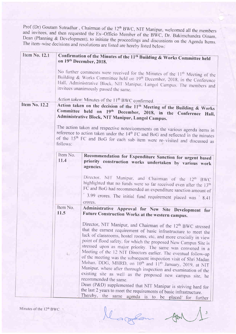Prof (Dr) Goutam Sutradhar, Chairman of the 12<sup>th</sup> BWC, NIT Manipur, welcomed all the members<br>and invitees, and then requested the Ex-Officio Member of the BWC, Dr. Bakimchandra Oinam,<br>Dean (Planning & Development), to ini

| Item No. 12.1        |                                                                                          | Confirmation of the Minutes of the 11 <sup>th</sup> Building & Works Committee held                                                                                           |  |  |
|----------------------|------------------------------------------------------------------------------------------|-------------------------------------------------------------------------------------------------------------------------------------------------------------------------------|--|--|
|                      |                                                                                          | on 19th December, 2018.                                                                                                                                                       |  |  |
|                      |                                                                                          |                                                                                                                                                                               |  |  |
|                      | No further comments were received for the Minutes of the 11 <sup>th</sup> Meeting of the |                                                                                                                                                                               |  |  |
|                      |                                                                                          | Building & Works Committee held on 19 <sup>th</sup> December, 2018, in the Conference                                                                                         |  |  |
|                      |                                                                                          | Hall, Administrative Block, NIT Manipur, Langol Campus. The members and<br>invitees unanimously passed the same.                                                              |  |  |
|                      |                                                                                          |                                                                                                                                                                               |  |  |
|                      |                                                                                          | Action taken: Minutes of the 11 <sup>th</sup> BWC confirmed.                                                                                                                  |  |  |
| <b>Item No. 12.2</b> |                                                                                          | Action taken on the decision of the 11 <sup>th</sup> Meeting of the Building & Works                                                                                          |  |  |
|                      |                                                                                          | Committee held on 19th December, 2018, in the Conference Hall,                                                                                                                |  |  |
|                      |                                                                                          | Administrative Block, NIT Manipur, Langol Campus.                                                                                                                             |  |  |
|                      |                                                                                          |                                                                                                                                                                               |  |  |
|                      |                                                                                          | The action taken and respective notes/comments on the various agenda items in<br>reference to action taken under the 14 <sup>th</sup> FC and BoG and reflected in the minutes |  |  |
|                      |                                                                                          | of the 15 <sup>th</sup> FC and BoG for each sub-item were re-visited and discussed as                                                                                         |  |  |
|                      | follows:                                                                                 |                                                                                                                                                                               |  |  |
|                      |                                                                                          |                                                                                                                                                                               |  |  |
|                      | Item No.<br>11.4                                                                         | Recommendation for Expenditure Sanction for urgent based                                                                                                                      |  |  |
|                      |                                                                                          | priority construction works undertaken by various work<br>agencies.                                                                                                           |  |  |
|                      |                                                                                          |                                                                                                                                                                               |  |  |
|                      |                                                                                          | Director. NIT Manipur. and Chairman of the 12 <sup>th</sup> BWC                                                                                                               |  |  |
|                      |                                                                                          | highlighted that no funds were so far received even after the 13 <sup>th</sup>                                                                                                |  |  |
|                      |                                                                                          | FC and BoG had recommended an expenditure sanction amount of                                                                                                                  |  |  |
|                      |                                                                                          | 3.99 crores. The initial fund requirement placed was ` 8.41                                                                                                                   |  |  |
|                      |                                                                                          | crores.                                                                                                                                                                       |  |  |
|                      | Item No.                                                                                 | Administrative Approval for New Site Development for                                                                                                                          |  |  |
|                      | 11.5                                                                                     | Future Construction Works at the western campus.                                                                                                                              |  |  |
|                      |                                                                                          | Director, NIT Manipur, and Chairman of the 12 <sup>th</sup> BWC stressed                                                                                                      |  |  |
|                      |                                                                                          | that the earnest requirement of basic infrastructure to meet the                                                                                                              |  |  |
|                      |                                                                                          | lack of classrooms, hostel rooms, etc, and more crucially in view                                                                                                             |  |  |
|                      |                                                                                          | point of flood safety, for which the proposed New Campus Site is                                                                                                              |  |  |
|                      |                                                                                          | stressed upon as major priority. The same was convened in a                                                                                                                   |  |  |
|                      |                                                                                          | Meeting of the 12 NIT Directors earlier. The eventual follow-up                                                                                                               |  |  |
|                      |                                                                                          | of the meeting was the subsequent inspection visit of Shri Madan<br>Mohan, DDG, MHRD, on 10 <sup>th</sup> and 11 <sup>th</sup> January, 2019, at NIT                          |  |  |
|                      |                                                                                          | Manipur, where after thorough inspection and examination of the                                                                                                               |  |  |
|                      |                                                                                          | existing site as well as the proposed new campus site, he                                                                                                                     |  |  |
|                      |                                                                                          | recommended the same.                                                                                                                                                         |  |  |
|                      |                                                                                          | Dean (P&D) supplemented that NIT Manipur is striving hard for                                                                                                                 |  |  |
|                      |                                                                                          | the last 2 years to meet the requirements of basic infrastructure.                                                                                                            |  |  |
|                      |                                                                                          | Thereby, the same agenda is to be placed for further                                                                                                                          |  |  |

Minutes of the 12<sup>th</sup> BWC

llage

 $\overline{\mathbf{3}}$ form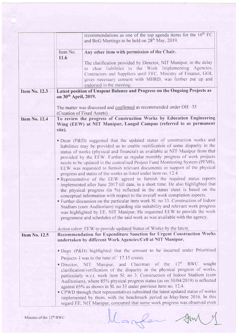|                      |                                  | recommendations as one of the top agenda items for the $16th FC$<br>and BoG Meetings to be held on 28 <sup>th</sup> May, 2019.                                                                                                                                                                                                                                                                                                                                                                                                                                                                                                                                                                                                                                                                                                                                                                                                                                                                                                                                                                                                                                                                                                                                                                    |
|----------------------|----------------------------------|---------------------------------------------------------------------------------------------------------------------------------------------------------------------------------------------------------------------------------------------------------------------------------------------------------------------------------------------------------------------------------------------------------------------------------------------------------------------------------------------------------------------------------------------------------------------------------------------------------------------------------------------------------------------------------------------------------------------------------------------------------------------------------------------------------------------------------------------------------------------------------------------------------------------------------------------------------------------------------------------------------------------------------------------------------------------------------------------------------------------------------------------------------------------------------------------------------------------------------------------------------------------------------------------------|
|                      | Item No.<br>11.6                 | Any other item with permission of the Chair.                                                                                                                                                                                                                                                                                                                                                                                                                                                                                                                                                                                                                                                                                                                                                                                                                                                                                                                                                                                                                                                                                                                                                                                                                                                      |
|                      |                                  | The clarification provided by Director, NIT Manipur, in the delay<br>to clear liabilities to the Work Implementing Agencies,<br>Contractors and Suppliers until EFC, Ministry of Finance, GOI,<br>gives necessary consent with MHRD, was further put up and<br>endorsed in the meeting.                                                                                                                                                                                                                                                                                                                                                                                                                                                                                                                                                                                                                                                                                                                                                                                                                                                                                                                                                                                                           |
| Item No. 12.3        | on 30 <sup>th</sup> April, 2019. | Latest position of Unspent Balance and Progress on the Ongoing Projects as                                                                                                                                                                                                                                                                                                                                                                                                                                                                                                                                                                                                                                                                                                                                                                                                                                                                                                                                                                                                                                                                                                                                                                                                                        |
|                      |                                  | The matter was discussed and confirmed as recommended under $OH - 35$<br>(Creation of Fixed Assets).                                                                                                                                                                                                                                                                                                                                                                                                                                                                                                                                                                                                                                                                                                                                                                                                                                                                                                                                                                                                                                                                                                                                                                                              |
| <b>Item No. 12.4</b> | site).                           | To review the progress of Construction Works by Education Engineering<br>Wing (EEW) at NIT Manipur, Langol Campus (referred to as permanent                                                                                                                                                                                                                                                                                                                                                                                                                                                                                                                                                                                                                                                                                                                                                                                                                                                                                                                                                                                                                                                                                                                                                       |
|                      |                                  | · Dean (P&D) suggested that the updated status of construction works and<br>liabilities may be provided as to enable rectification of some disparity in the<br>status of works (physical and financial) as available at NIT Manipur from that<br>provided by the EEW. Further as regular monthly progress of work projects<br>needs to be updated in the centralised Project Fund Monitoring System (PFMS),<br>EEW was requested to furnish relevant documents in support of the physical<br>progress and status of the works as listed under item no. 12.4.<br>Representative of the EEW agreed to furnish the required status reports<br>implemented after June 2017 till date, in a short time. He also highlighted that<br>the physical progress (in %) reflected in the status sheet is based on the<br>conceptual information with respect to the overall work completion aspects.<br>• Further discussion on the particular item work Sl. no 33. Construction of Indoor<br>Stadium (cum Auditorium) regarding site suitability and relevant work progress<br>was highlighted by EE, NIT Manipur. He requested EEW to provide the work<br>programme and schedules of the said work as was available with the agency.<br>Action taken: EEW to provide updated Status of Works by the latest. |
| <b>Item No. 12.5</b> |                                  | Recommendation for Expenditure Sanction for Urgent Construction Works<br>undertaken by different Work Agencies/Cell at NIT Manipur.<br>• Dean (P&D) highlighted that the amount to be incurred under Prioritised                                                                                                                                                                                                                                                                                                                                                                                                                                                                                                                                                                                                                                                                                                                                                                                                                                                                                                                                                                                                                                                                                  |
|                      |                                  | Projects–I was to the tune of 17.15 crores.<br>• Director, NIT Manipur, and Chairman of the 12 <sup>th</sup> BWC<br>sought<br>clarification/verification of the disparity in the physical progress of works,<br>particularly w.r.t. work item Sl. no 3: Construction of Indoor Stadium (cum<br>Auditorium), where 85% physical progress status (as on 30/04/2019) is reflected<br>against 65% as shown in Sl. no 33 under previous item no. 12.4.<br>• CPWD through their representatives submitted the latest updated status of works<br>implemented by them, with the benchmark period as May/June 2016. In this<br>regard EE, NIT Manipur, concurred that some work progress was observed even                                                                                                                                                                                                                                                                                                                                                                                                                                                                                                                                                                                                 |

Margan  $\begin{picture}(120,10) \put(0,0){\dashbox{0.5}(11.0)} \put(10,0){\dashbox{0.5}(11.0)} \put(10,0){\dashbox{0.5}(11.0)} \put(10,0){\dashbox{0.5}(11.0)} \put(10,0){\dashbox{0.5}(11.0)} \put(10,0){\dashbox{0.5}(11.0)} \put(10,0){\dashbox{0.5}(11.0)} \put(10,0){\dashbox{0.5}(11.0)} \put(10,0){\dashbox{0.5}(11.0)} \put(10,0){\dashbox{0.5}(11.0$  $\overline{4}$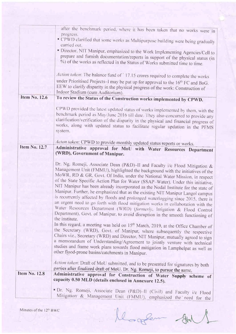|                      | after the benchmark period, where it has been taken that no works were in<br>progress.                                                                                                                                                                                                                                                                                                                                                                                                                                                                                                                                                                                                                                                                                                                                                                         |
|----------------------|----------------------------------------------------------------------------------------------------------------------------------------------------------------------------------------------------------------------------------------------------------------------------------------------------------------------------------------------------------------------------------------------------------------------------------------------------------------------------------------------------------------------------------------------------------------------------------------------------------------------------------------------------------------------------------------------------------------------------------------------------------------------------------------------------------------------------------------------------------------|
|                      | • CPWD clarified that some works as Multipurpose building were being gradually<br>carried out.                                                                                                                                                                                                                                                                                                                                                                                                                                                                                                                                                                                                                                                                                                                                                                 |
|                      | Director, NIT Manipur, emphasized to the Work Implementing Agencies/Cell to<br>prepare and furnish documentation/reports in support of the physical status (in<br>%) of the works as reflected in the Status of Works submitted time to time.                                                                                                                                                                                                                                                                                                                                                                                                                                                                                                                                                                                                                  |
|                      | Action taken: The balance fund of `17.15 crores required to complete the works<br>under Prioritised Projects-I may be put up for approval to the 16 <sup>th</sup> FC and BoG.<br>EEW to clarify disparity in the physical progress of the work: Construction of<br>Indoor Stadium (cum Auditorium).                                                                                                                                                                                                                                                                                                                                                                                                                                                                                                                                                            |
| <b>Item No. 12.6</b> | To review the Status of the Construction works implemented by CPWD.                                                                                                                                                                                                                                                                                                                                                                                                                                                                                                                                                                                                                                                                                                                                                                                            |
|                      | CPWD provided the latest updated status of works implemented by them, with the<br>benchmark period as May/June 2016 till date. They also concurred to provide any<br>clarification/verification of the disparity in the physical and financial progress of<br>works, along with updated status to facilitate regular updation in the PFMS<br>system.                                                                                                                                                                                                                                                                                                                                                                                                                                                                                                           |
|                      | Acton taken: CPWD to provide monthly updated status reports or works.                                                                                                                                                                                                                                                                                                                                                                                                                                                                                                                                                                                                                                                                                                                                                                                          |
| <b>Item No. 12.7</b> | Administrative approval for MoU with Water Resources Department<br>(WRD), Government of Manipur.                                                                                                                                                                                                                                                                                                                                                                                                                                                                                                                                                                                                                                                                                                                                                               |
|                      | Dr. Ng. Romeji, Associate Dean (P&D)-II and Faculty i/c Flood Mitigation &<br>Management Unit (FMMU), highlighted the background with the initiatives of the<br>MoWR, RD & GR, Govt. Of India, under the National Water Mission, in respect<br>of the State Specific Action Plan for Water (SSAP-Water). Under this initiative,<br>NIT Manipur has been already incorporated as the Nodal Institute for the state of<br>Manipur. Further, he emphasized that as the existing NIT Manipur Langol campus<br>is recurrently affected by floods and prolonged waterlogging since 2015, there is<br>an urgent need to go forth with flood mitigation works in collaboration with the<br>Water Resources Department (WRD) (formerly, Irrigation & Flood Control<br>Department), Govt. of Manipur, to avoid disruption in the smooth functioning of<br>the institute. |
|                      | In this regard, a meeting was held on 15 <sup>th</sup> March, 2019, at the Office Chamber of<br>the Secretary (WRD), Govt. of Manipur, where subsequently the respective<br>Chairs viz., Secretary (WRD) and Director, NIT Manipur, mutually agreed to sign<br>a memorandum of Understanding/Agreement to jointly venture with technical<br>studies and frame work plans towards flood mitigation in Lamphelpat as well as<br>other flood-prone basins/catchments in Manipur.                                                                                                                                                                                                                                                                                                                                                                                  |
|                      | Action taken: Draft of MoU submitted, and to be presented for signatures by both                                                                                                                                                                                                                                                                                                                                                                                                                                                                                                                                                                                                                                                                                                                                                                               |
| <b>Item No. 12.8</b> | parties after finalized draft of MoU. Dr. Ng. Romeji, to pursue the same.                                                                                                                                                                                                                                                                                                                                                                                                                                                                                                                                                                                                                                                                                                                                                                                      |
|                      | Administrative approval for Construction of Water Supply scheme of<br>capacity 0.50 MLD (details enclosed in Annexure 12.5).                                                                                                                                                                                                                                                                                                                                                                                                                                                                                                                                                                                                                                                                                                                                   |
|                      | Dr. Ng. Romeji, Associate Dean (P&D)-Il (Civil) and Faculty i/c Flood<br>Mitigation & Management Unit (FMMU). emphasized the need for the                                                                                                                                                                                                                                                                                                                                                                                                                                                                                                                                                                                                                                                                                                                      |

Minutes of the  $12<sup>th</sup> BWC$ 

le gen auf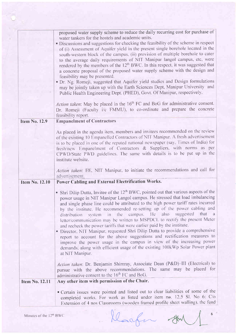|                       | proposed water supply scheme to reduce the daily recurring cost for purchase of<br>water tankers for the hostels and academic units.<br>· Discussions and suggestions for checking the feasibility of the scheme in respect<br>of (i) Assessment of Aquifer yield in the present single borehole located in the<br>south-western block of the campus, (ii) provision of multiple borehole to cater<br>to the average daily requirements of NIT Manipur langol campus, etc, were<br>rendered by the members of the 12 <sup>th</sup> BWC. In this respect, it was suggested that<br>a concrete proposal of the proposed water supply scheme with the design and<br>feasibility may be presented.<br>· Dr. Ng. Romeji, suggested that Aquifer yield studies and Design formulations<br>may be jointly taken up with the Earth Sciences Dept, Manipur University and<br>Public Health Engineering Dept. (PHED), Govt. Of Manipur, respectively.<br>Action taken: May be placed in the 16 <sup>th</sup> FC and BoG for administrative consent.<br>Dr. Romeji (Faculty i/c FMMU), to co-ordinate and prepare the concrete |
|-----------------------|---------------------------------------------------------------------------------------------------------------------------------------------------------------------------------------------------------------------------------------------------------------------------------------------------------------------------------------------------------------------------------------------------------------------------------------------------------------------------------------------------------------------------------------------------------------------------------------------------------------------------------------------------------------------------------------------------------------------------------------------------------------------------------------------------------------------------------------------------------------------------------------------------------------------------------------------------------------------------------------------------------------------------------------------------------------------------------------------------------------------|
|                       |                                                                                                                                                                                                                                                                                                                                                                                                                                                                                                                                                                                                                                                                                                                                                                                                                                                                                                                                                                                                                                                                                                                     |
|                       | feasibility report.                                                                                                                                                                                                                                                                                                                                                                                                                                                                                                                                                                                                                                                                                                                                                                                                                                                                                                                                                                                                                                                                                                 |
| <b>Item No. 12.9</b>  | <b>Empanelment of Contractors</b>                                                                                                                                                                                                                                                                                                                                                                                                                                                                                                                                                                                                                                                                                                                                                                                                                                                                                                                                                                                                                                                                                   |
|                       | As placed in the agenda item, members and invitees recommended on the review<br>of the existing 10 Empanelled Contractors of NIT Manipur. A fresh advertisement<br>is to be placed in one of the reputed national newspaper (say, Times of India) for<br>fresh/new Empanelment of Contractors & Suppliers, with norms as per<br>CPWD/State PWD guidelines. The same with details is to be put up in the<br>institute website.                                                                                                                                                                                                                                                                                                                                                                                                                                                                                                                                                                                                                                                                                       |
|                       | Action taken: EE, NIT Manipur, to initiate the recommendations and call for<br>advertisement.                                                                                                                                                                                                                                                                                                                                                                                                                                                                                                                                                                                                                                                                                                                                                                                                                                                                                                                                                                                                                       |
| Item No. 12.10        | Power Cabling and External Electrification Works.                                                                                                                                                                                                                                                                                                                                                                                                                                                                                                                                                                                                                                                                                                                                                                                                                                                                                                                                                                                                                                                                   |
|                       | • Shri Dilip Dutta, Invitee of the $12th BWC$ , pointed out that various aspects of the<br>power usage in NIT Manipur Langol campus. He stressed that load imbalancing<br>and single phase line could be attributed to the high power tariff rates incurred<br>by the institute. He recommended re-setting up of the power cabling and<br>system in the campus. He also suggested that a<br>distribution<br>letter/communication may be written to MSPDCL to rectify the present Meter<br>and recheck the power tariffs that were earlier paid by the institute.<br>· Director, NIT Manipur, requested Shri Dilip Dutta to provide a comprehensive<br>report to account for the above suggestions and rectification measures to<br>improve the power usage in the campus in view of the increasing power<br>demands, along with efficient usage of the existing 100kWp Solar Power plant<br>at NIT Manipur.                                                                                                                                                                                                         |
|                       | Action taken: Dr. Benjamin Shimray, Associate Dean (P&D)-III (Electrical) to<br>pursue with the above recommendations. The same may be placed for<br>administrative consent to the 16 <sup>th</sup> FC and BoG.                                                                                                                                                                                                                                                                                                                                                                                                                                                                                                                                                                                                                                                                                                                                                                                                                                                                                                     |
| <b>Item No. 12.11</b> | Any other item with permission of the Chair.                                                                                                                                                                                                                                                                                                                                                                                                                                                                                                                                                                                                                                                                                                                                                                                                                                                                                                                                                                                                                                                                        |
|                       | • Certain issues were pointed and listed out to clear liabilities of some of the<br>completed works. For work as listed under item no. 12.5 Sl. No 6: C/o<br>Extension of 4 nos Classrooms (wooden framed profile sheet walling), the fund                                                                                                                                                                                                                                                                                                                                                                                                                                                                                                                                                                                                                                                                                                                                                                                                                                                                          |

Klaufen AM

 $\frac{1}{2}$  6